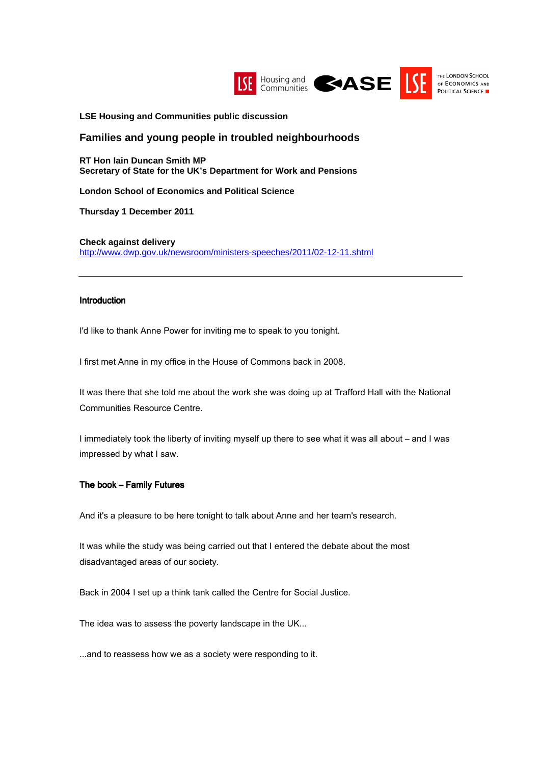

**LSE Housing and Communities public discussion**

# **Families and young people in troubled neighbourhoods**

**RT Hon Iain Duncan Smith MP Secretary of State for the UK's Department for Work and Pensions** 

**London School of Economics and Political Science** 

**Thursday 1 December 2011** 

**Check against delivery**  http://www.dwp.gov.uk/newsroom/ministers-speeches/2011/02-12-11.shtml

#### Introduction

I'd like to thank Anne Power for inviting me to speak to you tonight.

I first met Anne in my office in the House of Commons back in 2008.

It was there that she told me about the work she was doing up at Trafford Hall with the National Communities Resource Centre.

I immediately took the liberty of inviting myself up there to see what it was all about – and I was impressed by what I saw.

### The book – Family Futures

And it's a pleasure to be here tonight to talk about Anne and her team's research.

It was while the study was being carried out that I entered the debate about the most disadvantaged areas of our society.

Back in 2004 I set up a think tank called the Centre for Social Justice.

The idea was to assess the poverty landscape in the UK...

...and to reassess how we as a society were responding to it.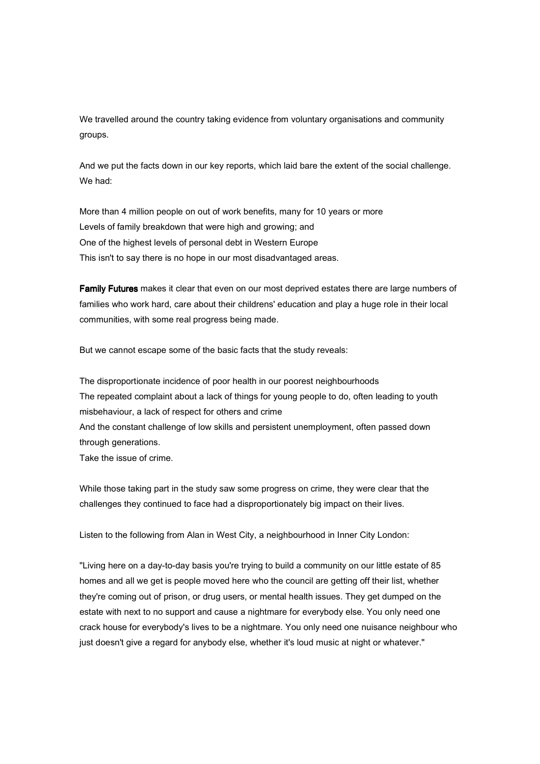We travelled around the country taking evidence from voluntary organisations and community groups.

And we put the facts down in our key reports, which laid bare the extent of the social challenge. We had:

More than 4 million people on out of work benefits, many for 10 years or more Levels of family breakdown that were high and growing; and One of the highest levels of personal debt in Western Europe This isn't to say there is no hope in our most disadvantaged areas.

Family Futures makes it clear that even on our most deprived estates there are large numbers of families who work hard, care about their childrens' education and play a huge role in their local communities, with some real progress being made.

But we cannot escape some of the basic facts that the study reveals:

The disproportionate incidence of poor health in our poorest neighbourhoods The repeated complaint about a lack of things for young people to do, often leading to youth misbehaviour, a lack of respect for others and crime And the constant challenge of low skills and persistent unemployment, often passed down through generations.

Take the issue of crime.

While those taking part in the study saw some progress on crime, they were clear that the challenges they continued to face had a disproportionately big impact on their lives.

Listen to the following from Alan in West City, a neighbourhood in Inner City London:

"Living here on a day-to-day basis you're trying to build a community on our little estate of 85 homes and all we get is people moved here who the council are getting off their list, whether they're coming out of prison, or drug users, or mental health issues. They get dumped on the estate with next to no support and cause a nightmare for everybody else. You only need one crack house for everybody's lives to be a nightmare. You only need one nuisance neighbour who just doesn't give a regard for anybody else, whether it's loud music at night or whatever."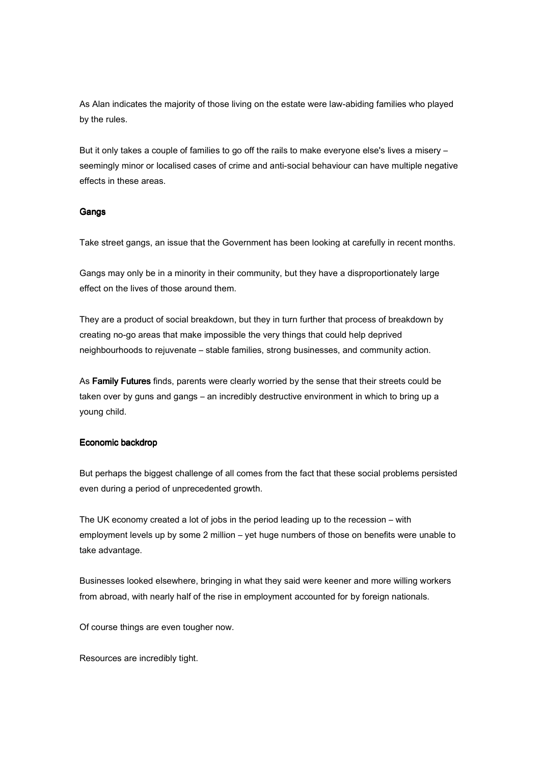As Alan indicates the majority of those living on the estate were law-abiding families who played by the rules.

But it only takes a couple of families to go off the rails to make everyone else's lives a misery – seemingly minor or localised cases of crime and anti-social behaviour can have multiple negative effects in these areas.

### Gangs

Take street gangs, an issue that the Government has been looking at carefully in recent months.

Gangs may only be in a minority in their community, but they have a disproportionately large effect on the lives of those around them.

They are a product of social breakdown, but they in turn further that process of breakdown by creating no-go areas that make impossible the very things that could help deprived neighbourhoods to rejuvenate – stable families, strong businesses, and community action.

As Family Futures finds, parents were clearly worried by the sense that their streets could be taken over by guns and gangs – an incredibly destructive environment in which to bring up a young child.

### Economic backdrop

But perhaps the biggest challenge of all comes from the fact that these social problems persisted even during a period of unprecedented growth.

The UK economy created a lot of jobs in the period leading up to the recession – with employment levels up by some 2 million – yet huge numbers of those on benefits were unable to take advantage.

Businesses looked elsewhere, bringing in what they said were keener and more willing workers from abroad, with nearly half of the rise in employment accounted for by foreign nationals.

Of course things are even tougher now.

Resources are incredibly tight.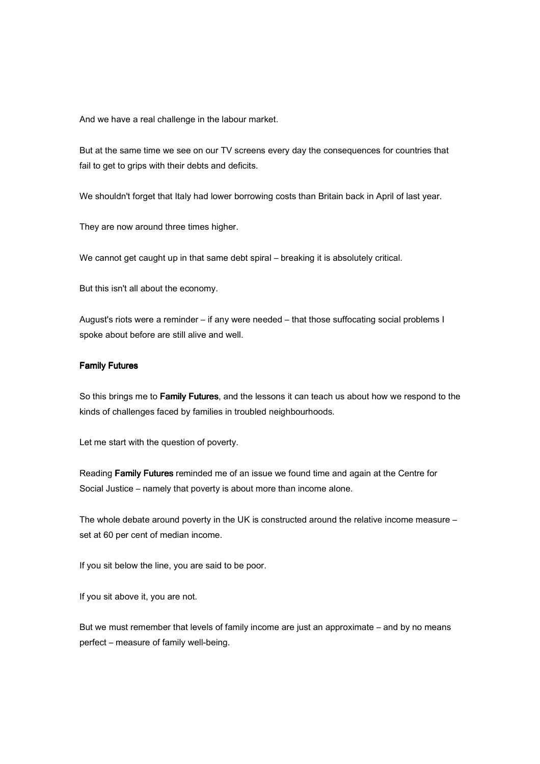And we have a real challenge in the labour market.

But at the same time we see on our TV screens every day the consequences for countries that fail to get to grips with their debts and deficits.

We shouldn't forget that Italy had lower borrowing costs than Britain back in April of last year.

They are now around three times higher.

We cannot get caught up in that same debt spiral – breaking it is absolutely critical.

But this isn't all about the economy.

August's riots were a reminder – if any were needed – that those suffocating social problems I spoke about before are still alive and well.

# Family Futures

So this brings me to Family Futures, and the lessons it can teach us about how we respond to the kinds of challenges faced by families in troubled neighbourhoods.

Let me start with the question of poverty.

Reading Family Futures reminded me of an issue we found time and again at the Centre for Social Justice – namely that poverty is about more than income alone.

The whole debate around poverty in the UK is constructed around the relative income measure – set at 60 per cent of median income.

If you sit below the line, you are said to be poor.

If you sit above it, you are not.

But we must remember that levels of family income are just an approximate – and by no means perfect – measure of family well-being.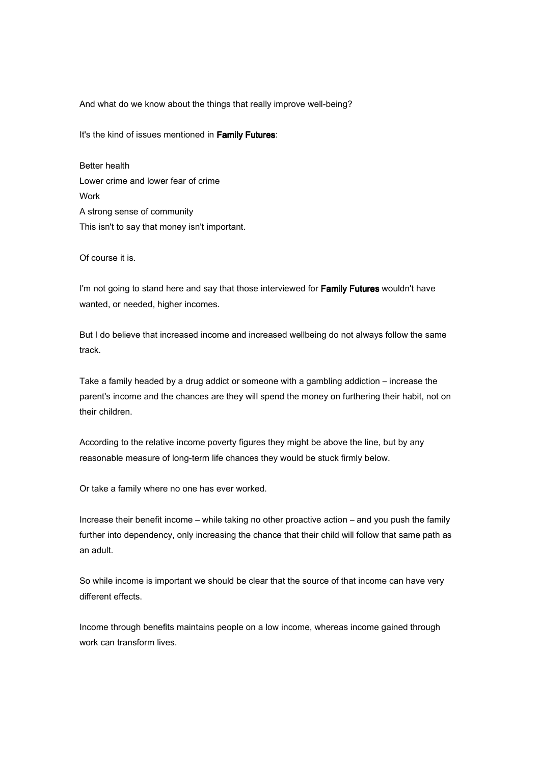And what do we know about the things that really improve well-being?

It's the kind of issues mentioned in Family Futures:

Better health Lower crime and lower fear of crime Work A strong sense of community This isn't to say that money isn't important.

Of course it is.

I'm not going to stand here and say that those interviewed for Family Futures wouldn't have wanted, or needed, higher incomes.

But I do believe that increased income and increased wellbeing do not always follow the same track.

Take a family headed by a drug addict or someone with a gambling addiction – increase the parent's income and the chances are they will spend the money on furthering their habit, not on their children.

According to the relative income poverty figures they might be above the line, but by any reasonable measure of long-term life chances they would be stuck firmly below.

Or take a family where no one has ever worked.

Increase their benefit income – while taking no other proactive action – and you push the family further into dependency, only increasing the chance that their child will follow that same path as an adult.

So while income is important we should be clear that the source of that income can have very different effects.

Income through benefits maintains people on a low income, whereas income gained through work can transform lives.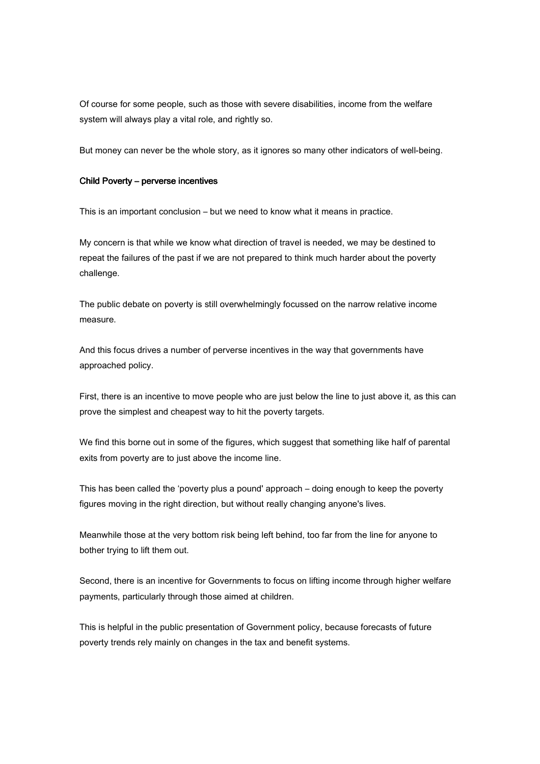Of course for some people, such as those with severe disabilities, income from the welfare system will always play a vital role, and rightly so.

But money can never be the whole story, as it ignores so many other indicators of well-being.

#### Child Poverty – perverse incentives

This is an important conclusion – but we need to know what it means in practice.

My concern is that while we know what direction of travel is needed, we may be destined to repeat the failures of the past if we are not prepared to think much harder about the poverty challenge.

The public debate on poverty is still overwhelmingly focussed on the narrow relative income measure.

And this focus drives a number of perverse incentives in the way that governments have approached policy.

First, there is an incentive to move people who are just below the line to just above it, as this can prove the simplest and cheapest way to hit the poverty targets.

We find this borne out in some of the figures, which suggest that something like half of parental exits from poverty are to just above the income line.

This has been called the 'poverty plus a pound' approach – doing enough to keep the poverty figures moving in the right direction, but without really changing anyone's lives.

Meanwhile those at the very bottom risk being left behind, too far from the line for anyone to bother trying to lift them out.

Second, there is an incentive for Governments to focus on lifting income through higher welfare payments, particularly through those aimed at children.

This is helpful in the public presentation of Government policy, because forecasts of future poverty trends rely mainly on changes in the tax and benefit systems.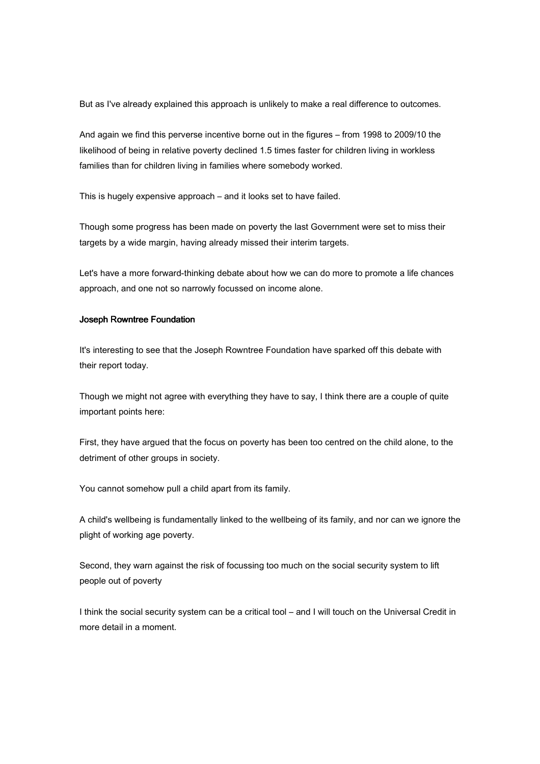But as I've already explained this approach is unlikely to make a real difference to outcomes.

And again we find this perverse incentive borne out in the figures – from 1998 to 2009/10 the likelihood of being in relative poverty declined 1.5 times faster for children living in workless families than for children living in families where somebody worked.

This is hugely expensive approach – and it looks set to have failed.

Though some progress has been made on poverty the last Government were set to miss their targets by a wide margin, having already missed their interim targets.

Let's have a more forward-thinking debate about how we can do more to promote a life chances approach, and one not so narrowly focussed on income alone.

### Joseph Rowntree Foundation

It's interesting to see that the Joseph Rowntree Foundation have sparked off this debate with their report today.

Though we might not agree with everything they have to say, I think there are a couple of quite important points here:

First, they have argued that the focus on poverty has been too centred on the child alone, to the detriment of other groups in society.

You cannot somehow pull a child apart from its family.

A child's wellbeing is fundamentally linked to the wellbeing of its family, and nor can we ignore the plight of working age poverty.

Second, they warn against the risk of focussing too much on the social security system to lift people out of poverty

I think the social security system can be a critical tool – and I will touch on the Universal Credit in more detail in a moment.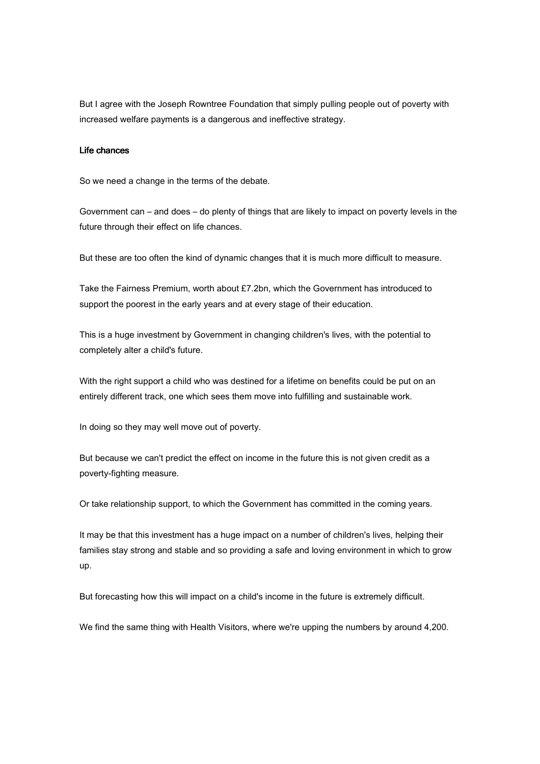But I agree with the Joseph Rowntree Foundation that simply pulling people out of poverty with increased welfare payments is a dangerous and ineffective strategy.

#### Life chances

So we need a change in the terms of the debate.

Government can – and does – do plenty of things that are likely to impact on poverty levels in the future through their effect on life chances.

But these are too often the kind of dynamic changes that it is much more difficult to measure.

Take the Fairness Premium, worth about £7.2bn, which the Government has introduced to support the poorest in the early years and at every stage of their education.

This is a huge investment by Government in changing children's lives, with the potential to completely alter a child's future.

With the right support a child who was destined for a lifetime on benefits could be put on an entirely different track, one which sees them move into fulfilling and sustainable work.

In doing so they may well move out of poverty.

But because we can't predict the effect on income in the future this is not given credit as a poverty-fighting measure.

Or take relationship support, to which the Government has committed in the coming years.

It may be that this investment has a huge impact on a number of children's lives, helping their families stay strong and stable and so providing a safe and loving environment in which to grow up.

But forecasting how this will impact on a child's income in the future is extremely difficult.

We find the same thing with Health Visitors, where we're upping the numbers by around 4,200.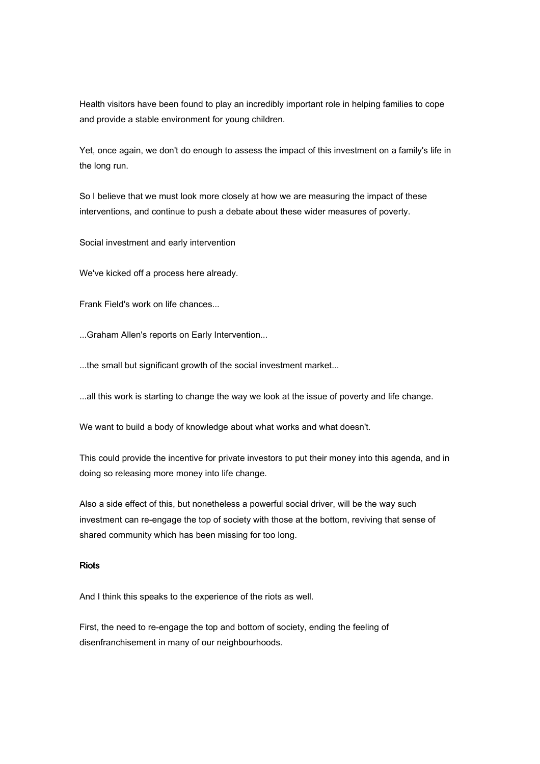Health visitors have been found to play an incredibly important role in helping families to cope and provide a stable environment for young children.

Yet, once again, we don't do enough to assess the impact of this investment on a family's life in the long run.

So I believe that we must look more closely at how we are measuring the impact of these interventions, and continue to push a debate about these wider measures of poverty.

Social investment and early intervention

We've kicked off a process here already.

Frank Field's work on life chances...

...Graham Allen's reports on Early Intervention...

...the small but significant growth of the social investment market...

...all this work is starting to change the way we look at the issue of poverty and life change.

We want to build a body of knowledge about what works and what doesn't.

This could provide the incentive for private investors to put their money into this agenda, and in doing so releasing more money into life change.

Also a side effect of this, but nonetheless a powerful social driver, will be the way such investment can re-engage the top of society with those at the bottom, reviving that sense of shared community which has been missing for too long.

# **Riots**

And I think this speaks to the experience of the riots as well.

First, the need to re-engage the top and bottom of society, ending the feeling of disenfranchisement in many of our neighbourhoods.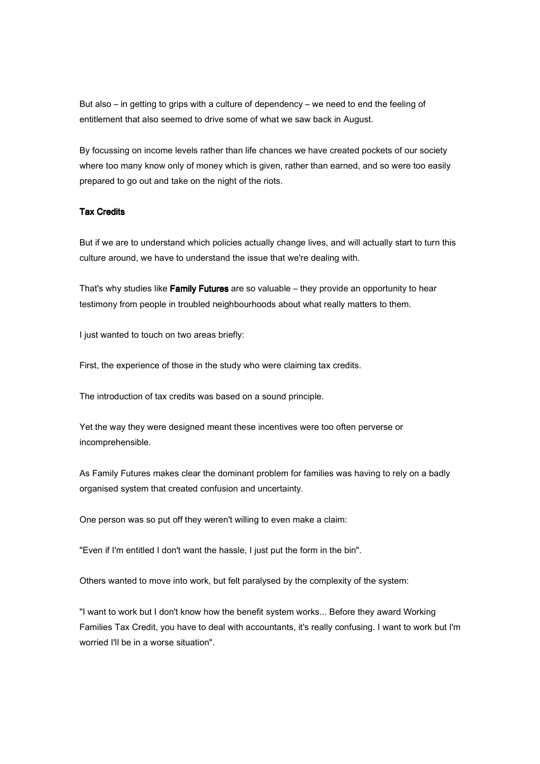But also – in getting to grips with a culture of dependency – we need to end the feeling of entitlement that also seemed to drive some of what we saw back in August.

By focussing on income levels rather than life chances we have created pockets of our society where too many know only of money which is given, rather than earned, and so were too easily prepared to go out and take on the night of the riots.

### **Tax Credits**

But if we are to understand which policies actually change lives, and will actually start to turn this culture around, we have to understand the issue that we're dealing with.

That's why studies like Family Futures are so valuable – they provide an opportunity to hear testimony from people in troubled neighbourhoods about what really matters to them.

I just wanted to touch on two areas briefly:

First, the experience of those in the study who were claiming tax credits.

The introduction of tax credits was based on a sound principle.

Yet the way they were designed meant these incentives were too often perverse or incomprehensible.

As Family Futures makes clear the dominant problem for families was having to rely on a badly organised system that created confusion and uncertainty.

One person was so put off they weren't willing to even make a claim:

"Even if I'm entitled I don't want the hassle, I just put the form in the bin".

Others wanted to move into work, but felt paralysed by the complexity of the system:

"I want to work but I don't know how the benefit system works... Before they award Working Families Tax Credit, you have to deal with accountants, it's really confusing. I want to work but I'm worried I'll be in a worse situation".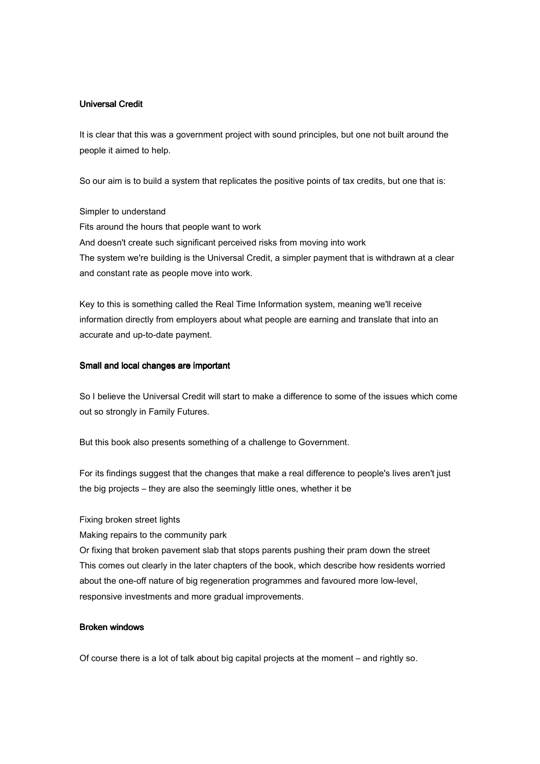# **Universal Credit**

It is clear that this was a government project with sound principles, but one not built around the people it aimed to help.

So our aim is to build a system that replicates the positive points of tax credits, but one that is:

Simpler to understand Fits around the hours that people want to work And doesn't create such significant perceived risks from moving into work The system we're building is the Universal Credit, a simpler payment that is withdrawn at a clear and constant rate as people move into work.

Key to this is something called the Real Time Information system, meaning we'll receive information directly from employers about what people are earning and translate that into an accurate and up-to-date payment.

### Small and local changes are important

So I believe the Universal Credit will start to make a difference to some of the issues which come out so strongly in Family Futures.

But this book also presents something of a challenge to Government.

For its findings suggest that the changes that make a real difference to people's lives aren't just the big projects – they are also the seemingly little ones, whether it be

#### Fixing broken street lights

Making repairs to the community park

Or fixing that broken pavement slab that stops parents pushing their pram down the street This comes out clearly in the later chapters of the book, which describe how residents worried about the one-off nature of big regeneration programmes and favoured more low-level, responsive investments and more gradual improvements.

#### Broken windows

Of course there is a lot of talk about big capital projects at the moment – and rightly so.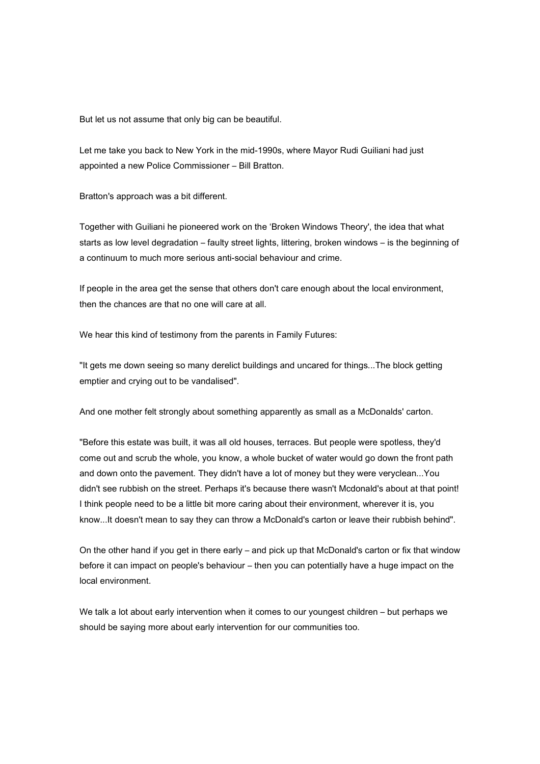But let us not assume that only big can be beautiful.

Let me take you back to New York in the mid-1990s, where Mayor Rudi Guiliani had just appointed a new Police Commissioner – Bill Bratton.

Bratton's approach was a bit different.

Together with Guiliani he pioneered work on the 'Broken Windows Theory', the idea that what starts as low level degradation – faulty street lights, littering, broken windows – is the beginning of a continuum to much more serious anti-social behaviour and crime.

If people in the area get the sense that others don't care enough about the local environment, then the chances are that no one will care at all.

We hear this kind of testimony from the parents in Family Futures:

"It gets me down seeing so many derelict buildings and uncared for things...The block getting emptier and crying out to be vandalised".

And one mother felt strongly about something apparently as small as a McDonalds' carton.

"Before this estate was built, it was all old houses, terraces. But people were spotless, they'd come out and scrub the whole, you know, a whole bucket of water would go down the front path and down onto the pavement. They didn't have a lot of money but they were veryclean...You didn't see rubbish on the street. Perhaps it's because there wasn't Mcdonald's about at that point! I think people need to be a little bit more caring about their environment, wherever it is, you know...It doesn't mean to say they can throw a McDonald's carton or leave their rubbish behind".

On the other hand if you get in there early – and pick up that McDonald's carton or fix that window before it can impact on people's behaviour – then you can potentially have a huge impact on the local environment.

We talk a lot about early intervention when it comes to our youngest children – but perhaps we should be saying more about early intervention for our communities too.